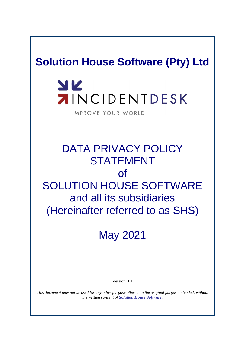# **Solution House Software (Pty) Ltd**

# YK **AINCIDENTDESK**

IMPROVE YOUR WORLD

# DATA PRIVACY POLICY STATEMENT of SOLUTION HOUSE SOFTWARE and all its subsidiaries (Hereinafter referred to as SHS)

May 2021

Version: 1.1

*This document may not be used for any other purpose other than the original purpose intended, without the written consent of Solution House Software.*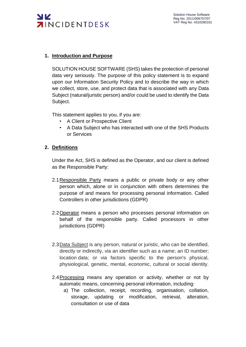

#### **1. Introduction and Purpose**

SOLUTION HOUSE SOFTWARE (SHS) takes the protection of personal data very seriously. The purpose of this policy statement is to expand upon our Information Security Policy and to describe the way in which we collect, store, use, and protect data that is associated with any Data Subject (natural/juristic person) and/or could be used to identify the Data Subject.

This statement applies to you, if you are:

- A Client or Prospective Client
- A Data Subject who has interacted with one of the SHS Products or Services

#### **2. Definitions**

Under the Act, SHS is defined as the Operator, and our client is defined as the Responsible Party:

- 2.1 Responsible Party means a public or private body or any other person which, alone or in conjunction with others determines the purpose of and means for processing personal information. Called Controllers in other jurisdictions (GDPR)
- 2.2Operator means a person who processes personal information on behalf of the responsible party. Called processors in other jurisdictions (GDPR)
- 2.3 Data Subject is any person, natural or juristic, who can be identified, directly or indirectly, via an identifier such as a name; an ID number; location data; or via factors specific to the person's physical, physiological, genetic, mental, economic, cultural or social identity.
- 2.4 Processing means any operation or activity, whether or not by automatic means, concerning personal information, including:
	- a) The collection, receipt, recording, organisation, collation, storage, updating or modification, retrieval, alteration, consultation or use of data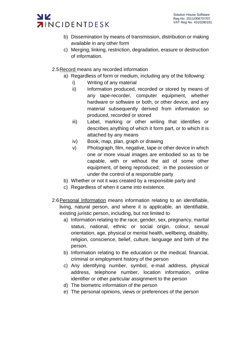- b) Dissemination by means of transmission, distribution or making available in any other form
- c) Merging, linking, restriction, degradation, erasure or destruction of information.
- 2.5Record means any recorded information
	- a) Regardless of form or medium, including any of the following:
		- i) Writing of any material
		- ii) Information produced, recorded or stored by means of any tape-recorder, computer equipment, whether hardware or software or both, or other device, and any material subsequently derived from information so produced, recorded or stored
		- iii) Label, marking or other writing that identifies or describes anything of which it form part, or to which it is attached by any means
		- iv) Book, map, plan, graph or drawing
		- v) Photograph, film, negative, tape or other device in which one or more visual images are embodied so as to be capable, with or without the aid of some other equipment, of being reproduced; in the possession or under the control of a responsible party
	- b) Whether or not it was created by a responsible party and
	- c) Regardless of when it came into existence.
- 2.6Personal Information means information relating to an identifiable, living, natural person, and where it is applicable, an identifiable, existing juristic person, including, but not limited to
	- a) Information relating to the race, gender, sex, pregnancy, marital status, national, ethnic or social origin, colour, sexual orientation, age, physical or mental health, wellbeing, disability, religion, conscience, belief, culture, language and birth of the person.
	- b) Information relating to the education or the medical, financial, criminal or employment history of the person
	- c) Any identifying number, symbol, e-mail address, physical address, telephone number, location information, online identifier or other particular assignment to the person
	- d) The biometric information of the person
	- e) The personal opinions, views or preferences of the person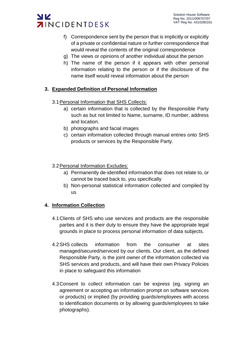

- f) Correspondence sent by the person that is implicitly or explicitly of a private or confidential nature or further correspondence that would reveal the contents of the original correspondence
- g) The views or opinions of another individual about the person
- h) The name of the person if it appears with other personal information relating to the person or if the disclosure of the name itself would reveal information about the person

## **3. Expanded Definition of Personal Information**

- 3.1 Personal Information that SHS Collects:
	- a) certain information that is collected by the Responsible Party such as but not limited to Name, surname, ID number, address and location.
	- b) photographs and facial images
	- c) certain information collected through manual entries onto SHS products or services by the Responsible Party.
- 3.2Personal Information Excludes:
	- a) Permanently de-identified information that does not relate to, or cannot be traced back to, you specifically
	- b) Non-personal statistical information collected and compiled by us

#### **4. Information Collection**

- 4.1Clients of SHS who use services and products are the responsible parties and it is their duty to ensure they have the appropriate legal grounds in place to process personal information of data subjects.
- 4.2SHS collects information from the consumer at sites managed/secured/serviced by our clients. Our client, as the defined Responsible Party, is the joint owner of the information collected via SHS services and products, and will have their own Privacy Policies in place to safeguard this information
- 4.3Consent to collect information can be express (eg. signing an agreement or accepting an information prompt on software services or products) or implied (by providing guards/employees with access to identification documents or by allowing guards/employees to take photographs).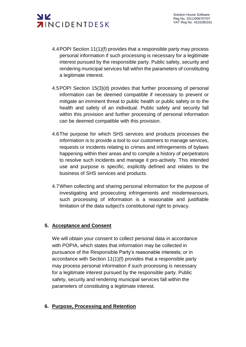

- 4.4POPI Section 11(1)(f) provides that a responsible party may process personal information if such processing is necessary for a legitimate interest pursued by the responsible party. Public safety, security and rendering municipal services fall within the parameters of constituting a legitimate interest.
- 4.5POPI Section 15(3)(d) provides that further processing of personal information can be deemed compatible if necessary to prevent or mitigate an imminent threat to public health or public safety or to the health and safety of an individual. Public safety and security fall within this provision and further processing of personal information can be deemed compatible with this provision.
- 4.6The purpose for which SHS services and products processes the information is to provide a tool to our customers to manage services, requests or incidents relating to crimes and infringements of bylaws happening within their areas and to compile a history of perpetrators to resolve such incidents and manage it pro-actively. This intended use and purpose is specific, explicitly defined and relates to the business of SHS services and products.
- 4.7When collecting and sharing personal information for the purpose of investigating and prosecuting infringements and misdemeanours, such processing of information is a reasonable and justifiable limitation of the data subject's constitutional right to privacy.

#### **5. Acceptance and Consent**

We will obtain your consent to collect personal data in accordance with POPIA, which states that information may be collected in pursuance of the Responsible Party's reasonable interests; or in accordance with Section 11(1)(f) provides that a responsible party may process personal information if such processing is necessary for a legitimate interest pursued by the responsible party. Public safety, security and rendering municipal services fall within the parameters of constituting a legitimate interest.

#### **6. Purpose, Processing and Retention**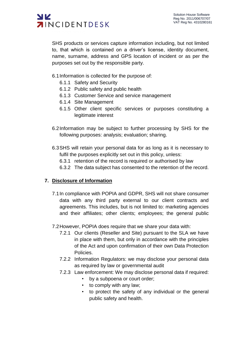

SHS products or services capture information including, but not limited to, that which is contained on a driver's license, identity document, name, surname, address and GPS location of incident or as per the purposes set out by the responsible party.

6.1Information is collected for the purpose of:

- 6.1.1 Safety and Security
- 6.1.2 Public safety and public health
- 6.1.3 Customer Service and service management
- 6.1.4 Site Management
- 6.1.5 Other client specific services or purposes constituting a legitimate interest
- 6.2Information may be subject to further processing by SHS for the following purposes: analysis; evaluation; sharing.
- 6.3SHS will retain your personal data for as long as it is necessary to fulfil the purposes explicitly set out in this policy, unless:
	- 6.3.1 retention of the record is required or authorised by law
	- 6.3.2 The data subject has consented to the retention of the record.

#### **7. Disclosure of Information**

- 7.1In compliance with POPIA and GDPR, SHS will not share consumer data with any third party external to our client contracts and agreements. This includes, but is not limited to: marketing agencies and their affiliates; other clients; employees; the general public
- 7.2However, POPIA does require that we share your data with:
	- 7.2.1 Our clients (Reseller and Site) pursuant to the SLA we have in place with them, but only in accordance with the principles of the Act and upon confirmation of their own Data Protection Policies.
	- 7.2.2 Information Regulators: we may disclose your personal data as required by law or governmental audit
	- 7.2.3 Law enforcement: We may disclose personal data if required:
		- by a subpoena or court order;
		- to comply with any law;
		- to protect the safety of any individual or the general public safety and health.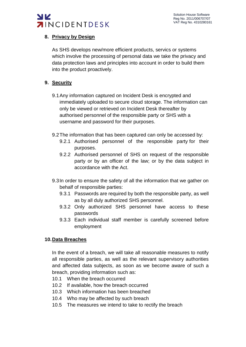

## **8. Privacy by Design**

As SHS develops new/more efficient products, servics or systems which involve the processing of personal data we take the privacy and data protection laws and principles into account in order to build them into the product proactively.

## **9. Security**

- 9.1Any information captured on Incident Desk is encrypted and immediately uploaded to secure cloud storage. The information can only be viewed or retrieved on Incident Desk thereafter by authorised personnel of the responsible party or SHS with a username and password for their purposes.
- 9.2The information that has been captured can only be accessed by:
	- 9.2.1 Authorised personnel of the responsible party for their purposes.
	- 9.2.2 Authorised personnel of SHS on request of the responsible party or by an officer of the law; or by the data subject in accordance with the Act.
- 9.3In order to ensure the safety of all the information that we gather on behalf of responsible parties:
	- 9.3.1 Passwords are required by both the responsible party, as well as by all duly authorized SHS personnel.
	- 9.3.2 Only authorized SHS personnel have access to these passwords
	- 9.3.3 Each individual staff member is carefully screened before employment

#### **10.Data Breaches**

In the event of a breach, we will take all reasonable measures to notify all responsible parties, as well as the relevant supervisory authorities and affected data subjects, as soon as we become aware of such a breach, providing information such as:

- 10.1 When the breach occurred
- 10.2 If available, how the breach occurred
- 10.3 Which information has been breached
- 10.4 Who may be affected by such breach
- 10.5 The measures we intend to take to rectify the breach